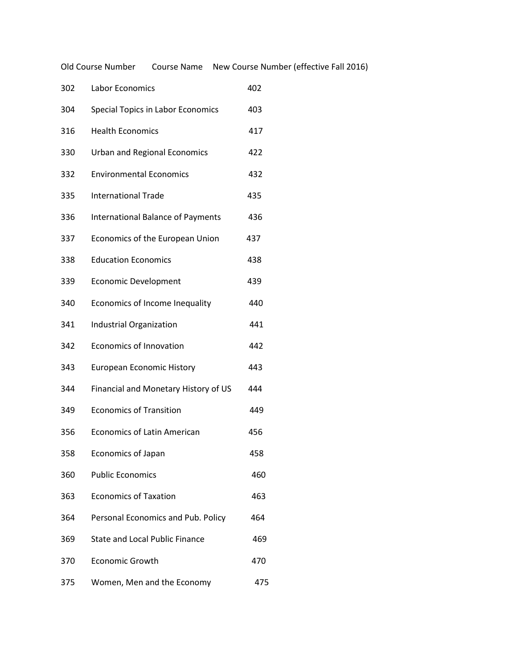Old Course Number Course Name New Course Number (effective Fall 2016)

| 302 | Labor Economics                          | 402 |
|-----|------------------------------------------|-----|
| 304 | Special Topics in Labor Economics        | 403 |
| 316 | <b>Health Economics</b>                  | 417 |
| 330 | <b>Urban and Regional Economics</b>      | 422 |
| 332 | <b>Environmental Economics</b>           | 432 |
| 335 | <b>International Trade</b>               | 435 |
| 336 | <b>International Balance of Payments</b> | 436 |
| 337 | Economics of the European Union          | 437 |
| 338 | <b>Education Economics</b>               | 438 |
| 339 | <b>Economic Development</b>              | 439 |
| 340 | Economics of Income Inequality           | 440 |
| 341 | Industrial Organization                  | 441 |
| 342 | <b>Economics of Innovation</b>           | 442 |
| 343 | <b>European Economic History</b>         | 443 |
| 344 | Financial and Monetary History of US     | 444 |
| 349 | <b>Economics of Transition</b>           | 449 |
| 356 | <b>Economics of Latin American</b>       | 456 |
| 358 | <b>Economics of Japan</b>                | 458 |
| 360 | <b>Public Economics</b>                  | 460 |
| 363 | <b>Economics of Taxation</b>             | 463 |
| 364 | Personal Economics and Pub. Policy       | 464 |
| 369 | State and Local Public Finance           | 469 |
| 370 | <b>Economic Growth</b>                   | 470 |
| 375 | Women, Men and the Economy               | 475 |